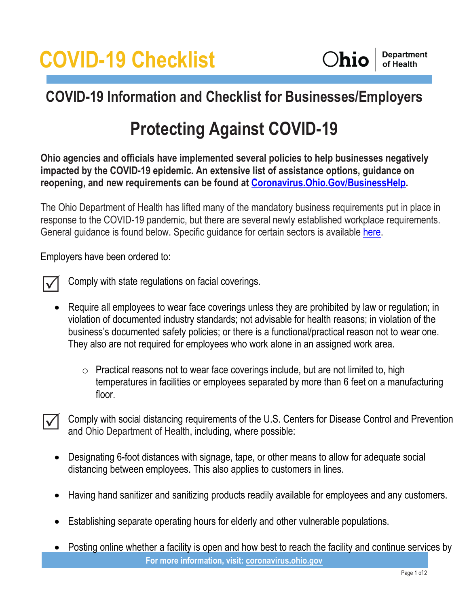# **COVID-19 Checklist**

### **COVID-19 Information and Checklist for Businesses/Employers**

### **Protecting Against COVID-19**

**Ohio agencies and officials have implemented several policies to help businesses negatively impacted by the COVID-19 epidemic. An extensive list of assistance options, guidance on reopening, and new requirements can be found at [Coronavirus.Ohio.Gov/BusinessHelp.](https://businesshelp.ohio.gov/)**

The Ohio Department of Health has lifted many of the mandatory business requirements put in place in response to the COVID-19 pandemic, but there are several newly established workplace requirements. General guidance is found below. Specific guidance for certain sectors is available [here.](https://coronavirus.ohio.gov/wps/portal/gov/covid-19/responsible-restart-ohio/Sector-Specific-Operating-Requirements/Sector-Specific-Operating-Requirements)

Employers have been ordered to:



Comply with state regulations on facial coverings.

- Require all employees to wear face coverings unless they are prohibited by law or regulation; in violation of documented industry standards; not advisable for health reasons; in violation of the business's documented safety policies; or there is a functional/practical reason not to wear one. They also are not required for employees who work alone in an assigned work area.
	- $\circ$  Practical reasons not to wear face coverings include, but are not limited to, high temperatures in facilities or employees separated by more than 6 feet on a manufacturing floor.
- Comply with social distancing requirements of the U.S. Centers for Disease Control and Prevention and Ohio Department of Health, including, where possible:  $\Delta$ 
	- Designating 6-foot distances with signage, tape, or other means to allow for adequate social distancing between employees. This also applies to customers in lines.
	- Having hand sanitizer and sanitizing products readily available for employees and any customers.
	- Establishing separate operating hours for elderly and other vulnerable populations.
	- **For more information, visit: [coronavirus.ohio.gov](http://coronavirus.ohio.gov/)** • Posting online whether a facility is open and how best to reach the facility and continue services by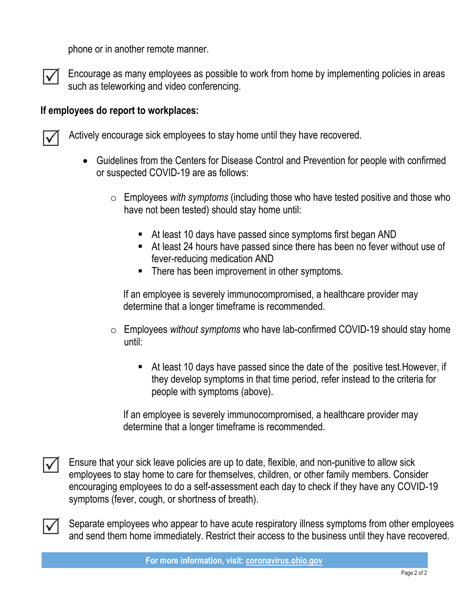phone or in another remote manner.



Encourage as many employees as possible to work from home by implementing policies in areas such as teleworking and video conferencing.

#### **If employees do report to workplaces:**



Actively encourage sick employees to stay home until they have recovered.

- Guidelines from the Centers for Disease Control and Prevention for people with confirmed or suspected COVID-19 are as follows:
	- o Employees *with symptoms* (including those who have tested positive and those who have not been tested) should stay home until:
		- At least 10 days have passed since symptoms first began AND
		- At least 24 hours have passed since there has been no fever without use of fever-reducing medication AND
		- There has been improvement in other symptoms.

If an employee is severely immunocompromised, a healthcare provider may determine that a longer timeframe is recommended.

- o Employees *without symptoms* who have lab-confirmed COVID-19 should stay home until:
	- At least 10 days have passed since the date of the positive test. However, if they develop symptoms in that time period, refer instead to the criteria for people with symptoms (above).

If an employee is severely immunocompromised, a healthcare provider may determine that a longer timeframe is recommended.



Ensure that your sick leave policies are up to date, flexible, and non-punitive to allow sick employees to stay home to care for themselves, children, or other family members. Consider encouraging employees to do a self-assessment each day to check if they have any COVID-19 symptoms (fever, cough, or shortness of breath).



Separate employees who appear to have acute respiratory illness symptoms from other employees and send them home immediately. Restrict their access to the business until they have recovered.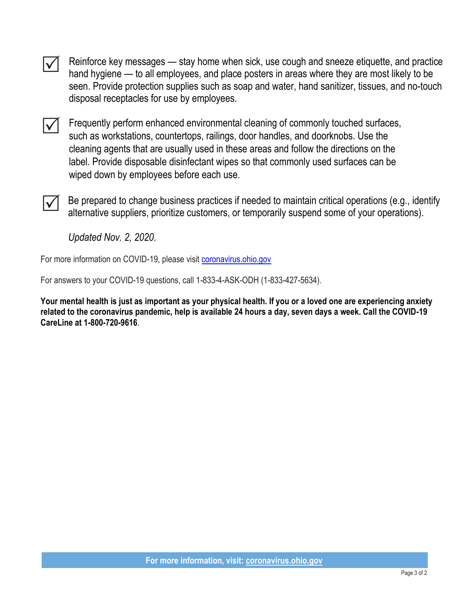$\checkmark$ 

Reinforce key messages — stay home when sick, use cough and sneeze etiquette, and practice hand hygiene — to all employees, and place posters in areas where they are most likely to be seen. Provide protection supplies such as soap and water, hand sanitizer, tissues, and no-touch disposal receptacles for use by employees.

 $\blacktriangledown$ 

Frequently perform enhanced environmental cleaning of commonly touched surfaces, such as workstations, countertops, railings, door handles, and doorknobs. Use the cleaning agents that are usually used in these areas and follow the directions on the label. Provide disposable disinfectant wipes so that commonly used surfaces can be wiped down by employees before each use.

 $\Delta$ 

Be prepared to change business practices if needed to maintain critical operations (e.g., identify alternative suppliers, prioritize customers, or temporarily suspend some of your operations).

*Updated Nov. 2, 2020.*

For more information on COVID-19, please visit [coronavirus.ohio.gov](http://www.coronavirus.ohio.gov/)

For answers to your COVID-19 questions, call 1-833-4-ASK-ODH (1-833-427-5634).

**Your mental health is just as important as your physical health. If you or a loved one are experiencing anxiety related to the coronavirus pandemic, help is available 24 hours a day, seven days a week. Call the COVID-19 CareLine at 1-800-720-9616**.